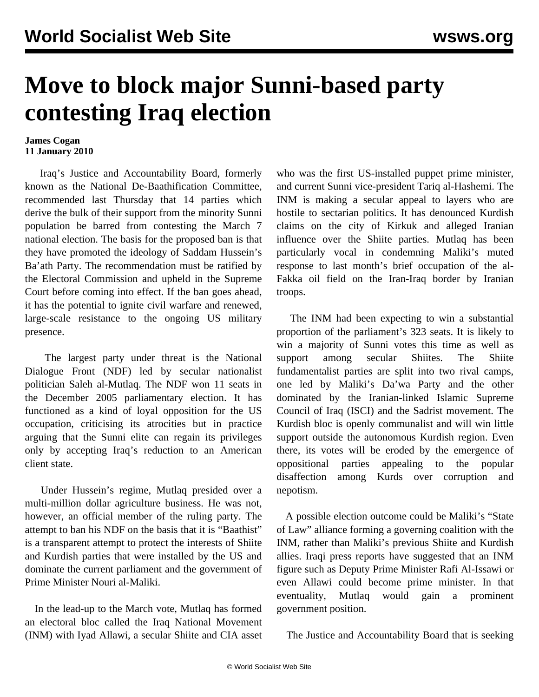## **Move to block major Sunni-based party contesting Iraq election**

## **James Cogan 11 January 2010**

 Iraq's Justice and Accountability Board, formerly known as the National De-Baathification Committee, recommended last Thursday that 14 parties which derive the bulk of their support from the minority Sunni population be barred from contesting the March 7 national election. The basis for the proposed ban is that they have promoted the ideology of Saddam Hussein's Ba'ath Party. The recommendation must be ratified by the Electoral Commission and upheld in the Supreme Court before coming into effect. If the ban goes ahead, it has the potential to ignite civil warfare and renewed, large-scale resistance to the ongoing US military presence.

 The largest party under threat is the National Dialogue Front (NDF) led by secular nationalist politician Saleh al-Mutlaq. The NDF won 11 seats in the December 2005 parliamentary election. It has functioned as a kind of loyal opposition for the US occupation, criticising its atrocities but in practice arguing that the Sunni elite can regain its privileges only by accepting Iraq's reduction to an American client state.

 Under Hussein's regime, Mutlaq presided over a multi-million dollar agriculture business. He was not, however, an official member of the ruling party. The attempt to ban his NDF on the basis that it is "Baathist" is a transparent attempt to protect the interests of Shiite and Kurdish parties that were installed by the US and dominate the current parliament and the government of Prime Minister Nouri al-Maliki.

 In the lead-up to the March vote, Mutlaq has formed an electoral bloc called the Iraq National Movement (INM) with Iyad Allawi, a secular Shiite and CIA asset who was the first US-installed puppet prime minister, and current Sunni vice-president Tariq al-Hashemi. The INM is making a secular appeal to layers who are hostile to sectarian politics. It has denounced Kurdish claims on the city of Kirkuk and alleged Iranian influence over the Shiite parties. Mutlaq has been particularly vocal in condemning Maliki's muted response to last month's brief occupation of the al-Fakka oil field on the Iran-Iraq border by Iranian troops.

 The INM had been expecting to win a substantial proportion of the parliament's 323 seats. It is likely to win a majority of Sunni votes this time as well as support among secular Shiites. The Shiite fundamentalist parties are split into two rival camps, one led by Maliki's Da'wa Party and the other dominated by the Iranian-linked Islamic Supreme Council of Iraq (ISCI) and the Sadrist movement. The Kurdish bloc is openly communalist and will win little support outside the autonomous Kurdish region. Even there, its votes will be eroded by the emergence of oppositional parties appealing to the popular disaffection among Kurds over corruption and nepotism.

 A possible election outcome could be Maliki's "State of Law" alliance forming a governing coalition with the INM, rather than Maliki's previous Shiite and Kurdish allies. Iraqi press reports have suggested that an INM figure such as Deputy Prime Minister Rafi Al-Issawi or even Allawi could become prime minister. In that eventuality, Mutlaq would gain a prominent government position.

The Justice and Accountability Board that is seeking